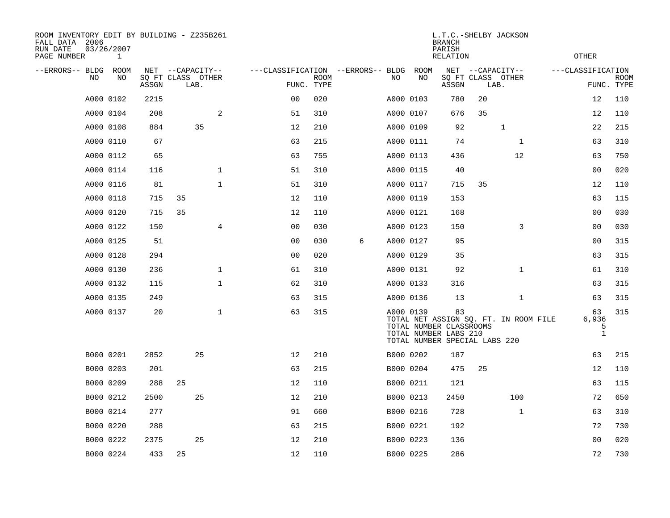| ROOM INVENTORY EDIT BY BUILDING - Z235B261<br>FALL DATA 2006<br>RUN DATE<br>PAGE NUMBER | 03/26/2007<br>1 |       |                           |                |                                   |             |   |           |      | <b>BRANCH</b><br>PARISH<br>RELATION                                                     |                           | L.T.C.-SHELBY JACKSON                 |                   | <b>OTHER</b>                     |             |
|-----------------------------------------------------------------------------------------|-----------------|-------|---------------------------|----------------|-----------------------------------|-------------|---|-----------|------|-----------------------------------------------------------------------------------------|---------------------------|---------------------------------------|-------------------|----------------------------------|-------------|
| --ERRORS-- BLDG                                                                         | ROOM            |       | NET --CAPACITY--          |                | ---CLASSIFICATION --ERRORS-- BLDG |             |   |           | ROOM |                                                                                         | NET --CAPACITY--          |                                       | ---CLASSIFICATION |                                  |             |
| N <sub>O</sub>                                                                          | NO.             | ASSGN | SO FT CLASS OTHER<br>LAB. |                | FUNC. TYPE                        | <b>ROOM</b> |   | NO.       | NO   | ASSGN                                                                                   | SQ FT CLASS OTHER<br>LAB. |                                       |                   | FUNC. TYPE                       | <b>ROOM</b> |
|                                                                                         | A000 0102       | 2215  |                           |                | 0 <sub>0</sub>                    | 020         |   | A000 0103 |      | 780                                                                                     | 20                        |                                       |                   | 12                               | 110         |
|                                                                                         | A000 0104       | 208   |                           | 2              | 51                                | 310         |   | A000 0107 |      | 676                                                                                     | 35                        |                                       |                   | 12                               | 110         |
|                                                                                         | A000 0108       | 884   | 35                        |                | 12                                | 210         |   | A000 0109 |      | 92                                                                                      |                           | $\mathbf 1$                           |                   | 22                               | 215         |
|                                                                                         | A000 0110       | 67    |                           |                | 63                                | 215         |   | A000 0111 |      | 74                                                                                      |                           | $\mathbf{1}$                          |                   | 63                               | 310         |
|                                                                                         | A000 0112       | 65    |                           |                | 63                                | 755         |   | A000 0113 |      | 436                                                                                     |                           | 12                                    |                   | 63                               | 750         |
|                                                                                         | A000 0114       | 116   |                           | $\mathbf{1}$   | 51                                | 310         |   | A000 0115 |      | 40                                                                                      |                           |                                       |                   | 0 <sub>0</sub>                   | 020         |
|                                                                                         | A000 0116       | 81    |                           | $\mathbf{1}$   | 51                                | 310         |   | A000 0117 |      | 715                                                                                     | 35                        |                                       |                   | 12                               | 110         |
|                                                                                         | A000 0118       | 715   | 35                        |                | 12                                | 110         |   | A000 0119 |      | 153                                                                                     |                           |                                       |                   | 63                               | 115         |
|                                                                                         | A000 0120       | 715   | 35                        |                | 12                                | 110         |   | A000 0121 |      | 168                                                                                     |                           |                                       |                   | 0 <sub>0</sub>                   | 030         |
|                                                                                         | A000 0122       | 150   |                           | $\overline{4}$ | 0 <sub>0</sub>                    | 030         |   | A000 0123 |      | 150                                                                                     |                           | 3                                     |                   | 0 <sub>0</sub>                   | 030         |
|                                                                                         | A000 0125       | 51    |                           |                | 00                                | 030         | 6 | A000 0127 |      | 95                                                                                      |                           |                                       |                   | 00                               | 315         |
|                                                                                         | A000 0128       | 294   |                           |                | 0 <sub>0</sub>                    | 020         |   | A000 0129 |      | 35                                                                                      |                           |                                       |                   | 63                               | 315         |
|                                                                                         | A000 0130       | 236   |                           | $\mathbf 1$    | 61                                | 310         |   | A000 0131 |      | 92                                                                                      |                           | $\mathbf{1}$                          |                   | 61                               | 310         |
|                                                                                         | A000 0132       | 115   |                           | $\mathbf{1}$   | 62                                | 310         |   | A000 0133 |      | 316                                                                                     |                           |                                       |                   | 63                               | 315         |
|                                                                                         | A000 0135       | 249   |                           |                | 63                                | 315         |   | A000 0136 |      | 13                                                                                      |                           | $\mathbf{1}$                          |                   | 63                               | 315         |
|                                                                                         | A000 0137       | 20    |                           | $\mathbf 1$    | 63                                | 315         |   | A000 0139 |      | 83<br>TOTAL NUMBER CLASSROOMS<br>TOTAL NUMBER LABS 210<br>TOTAL NUMBER SPECIAL LABS 220 |                           | TOTAL NET ASSIGN SQ. FT. IN ROOM FILE |                   | 63<br>6,936<br>5<br>$\mathbf{1}$ | 315         |
|                                                                                         | B000 0201       | 2852  | 25                        |                | 12                                | 210         |   | B000 0202 |      | 187                                                                                     |                           |                                       |                   | 63                               | 215         |
|                                                                                         | B000 0203       | 201   |                           |                | 63                                | 215         |   | B000 0204 |      | 475                                                                                     | 25                        |                                       |                   | 12                               | 110         |
|                                                                                         | B000 0209       | 288   | 25                        |                | 12                                | 110         |   | B000 0211 |      | 121                                                                                     |                           |                                       |                   | 63                               | 115         |
|                                                                                         | B000 0212       | 2500  | 25                        |                | 12                                | 210         |   | B000 0213 |      | 2450                                                                                    |                           | 100                                   |                   | 72                               | 650         |
|                                                                                         | B000 0214       | 277   |                           |                | 91                                | 660         |   | B000 0216 |      | 728                                                                                     |                           | $\mathbf{1}$                          |                   | 63                               | 310         |
|                                                                                         | B000 0220       | 288   |                           |                | 63                                | 215         |   | B000 0221 |      | 192                                                                                     |                           |                                       |                   | 72                               | 730         |
|                                                                                         | B000 0222       | 2375  | 25                        |                | 12                                | 210         |   | B000 0223 |      | 136                                                                                     |                           |                                       |                   | 0 <sub>0</sub>                   | 020         |
|                                                                                         | B000 0224       | 433   | 25                        |                | 12                                | 110         |   | B000 0225 |      | 286                                                                                     |                           |                                       |                   | 72                               | 730         |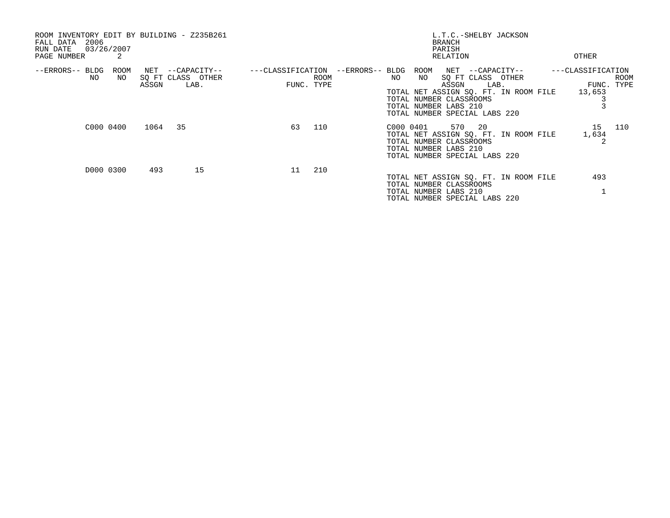| ROOM INVENTORY EDIT BY BUILDING - Z235B261<br>2006<br>FALL DATA<br>03/26/2007<br>RUN DATE<br>PAGE NUMBER<br>2 |         |                                               |    |                    | L.T.C.-SHELBY JACKSON<br>BRANCH<br>PARISH<br>OTHER<br>RELATION                                                                                                                                                                                                                                   |
|---------------------------------------------------------------------------------------------------------------|---------|-----------------------------------------------|----|--------------------|--------------------------------------------------------------------------------------------------------------------------------------------------------------------------------------------------------------------------------------------------------------------------------------------------|
| ROOM<br>--ERRORS-- BLDG<br>NO<br>NO                                                                           | ASSGN   | NET --CAPACITY--<br>SQ FT CLASS OTHER<br>LAB. |    | ROOM<br>FUNC. TYPE | ---CLASSIFICATION --ERRORS-- BLDG ROOM NET --CAPACITY--<br>---CLASSIFICATION<br>SO FT CLASS OTHER<br>NO<br>NO<br><b>ROOM</b><br>LAB.<br>ASSGN<br>FUNC. TYPE<br>TOTAL NET ASSIGN SO. FT. IN ROOM FILE 13,653<br>TOTAL NUMBER CLASSROOMS<br>TOTAL NUMBER LABS 210<br>TOTAL NUMBER SPECIAL LABS 220 |
| C000 0400                                                                                                     | 1064 35 |                                               | 63 | 110                | 570 20<br>15 110<br>C000 0401<br>TOTAL NET ASSIGN SQ. FT. IN ROOM FILE<br>1,634<br>2<br>TOTAL NUMBER CLASSROOMS<br>TOTAL NUMBER LABS 210<br>TOTAL NUMBER SPECIAL LABS 220                                                                                                                        |
| D000 0300                                                                                                     | 493     | 15                                            | 11 | 210                | 493<br>TOTAL NET ASSIGN SQ. FT. IN ROOM FILE<br>TOTAL NUMBER CLASSROOMS<br>TOTAL NUMBER LABS 210<br>TOTAL NUMBER SPECIAL LABS 220                                                                                                                                                                |